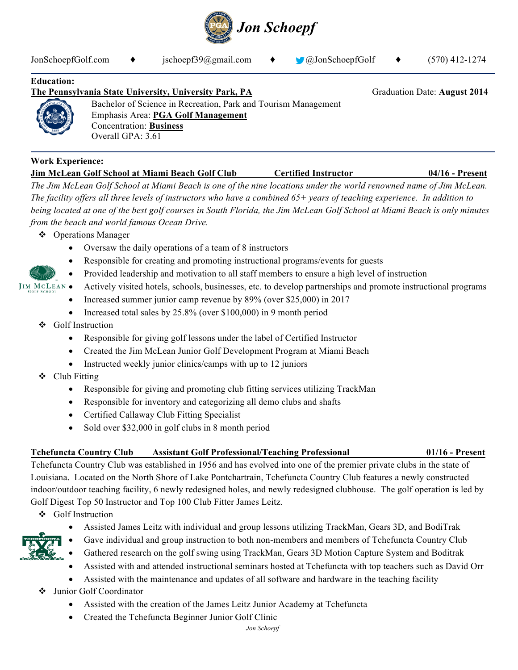

JonSchoepfGolf.com **♦** jschoepf39@gmail.com **♦** @JonSchoepfGolf **♦** (570) 412-1274

### **Education:**

# **The Pennsylvania State University, University Park, PA** Graduation Date: **August 2014**



Bachelor of Science in Recreation, Park and Tourism Management Emphasis Area: **PGA Golf Management** Concentration: **Business** Overall GPA: 3.61

#### **Work Experience:**

**Jim McLean Golf School at Miami Beach Golf Club Certified Instructor 04/16 - Present** *The Jim McLean Golf School at Miami Beach is one of the nine locations under the world renowned name of Jim McLean. The facility offers all three levels of instructors who have a combined 65+ years of teaching experience. In addition to being located at one of the best golf courses in South Florida, the Jim McLean Golf School at Miami Beach is only minutes* 

*from the beach and world famous Ocean Drive.* 

- ❖ Operations Manager
	- Oversaw the daily operations of a team of 8 instructors
	- Responsible for creating and promoting instructional programs/events for guests
	- Provided leadership and motivation to all staff members to ensure a high level of instruction
- Actively visited hotels, schools, businesses, etc. to develop partnerships and promote instructional programs
	- Increased summer junior camp revenue by 89% (over \$25,000) in 2017
	- Increased total sales by 25.8% (over \$100,000) in 9 month period
	- v Golf Instruction
		- Responsible for giving golf lessons under the label of Certified Instructor
		- Created the Jim McLean Junior Golf Development Program at Miami Beach
		- Instructed weekly junior clinics/camps with up to 12 juniors
	- $\triangleleft$  Club Fitting
		- Responsible for giving and promoting club fitting services utilizing TrackMan
		- Responsible for inventory and categorizing all demo clubs and shafts
		- Certified Callaway Club Fitting Specialist
		- Sold over \$32,000 in golf clubs in 8 month period

#### **Tchefuncta Country Club Assistant Golf Professional/Teaching Professional 01/16 - Present**

Tchefuncta Country Club was established in 1956 and has evolved into one of the premier private clubs in the state of Louisiana. Located on the North Shore of Lake Pontchartrain, Tchefuncta Country Club features a newly constructed indoor/outdoor teaching facility, 6 newly redesigned holes, and newly redesigned clubhouse. The golf operation is led by Golf Digest Top 50 Instructor and Top 100 Club Fitter James Leitz.

- ❖ Golf Instruction
	- Assisted James Leitz with individual and group lessons utilizing TrackMan, Gears 3D, and BodiTrak



- 
- Gave individual and group instruction to both non-members and members of Tchefuncta Country Club • Gathered research on the golf swing using TrackMan, Gears 3D Motion Capture System and Boditrak
- Assisted with and attended instructional seminars hosted at Tchefuncta with top teachers such as David Orr
- Assisted with the maintenance and updates of all software and hardware in the teaching facility
- v Junior Golf Coordinator
	- Assisted with the creation of the James Leitz Junior Academy at Tchefuncta
	- Created the Tchefuncta Beginner Junior Golf Clinic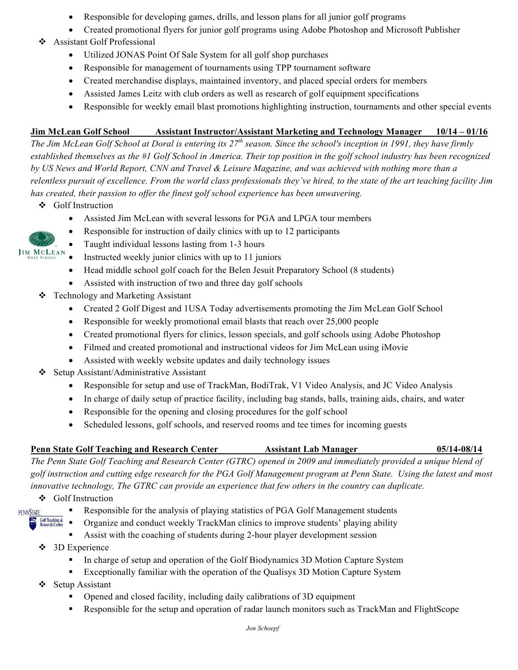- Responsible for developing games, drills, and lesson plans for all junior golf programs
- Created promotional flyers for junior golf programs using Adobe Photoshop and Microsoft Publisher
- v Assistant Golf Professional
	- Utilized JONAS Point Of Sale System for all golf shop purchases
	- Responsible for management of tournaments using TPP tournament software
	- Created merchandise displays, maintained inventory, and placed special orders for members
	- Assisted James Leitz with club orders as well as research of golf equipment specifications
	- Responsible for weekly email blast promotions highlighting instruction, tournaments and other special events

## **Jim McLean Golf School Assistant Instructor/Assistant Marketing and Technology Manager 10/14 – 01/16**

*The Jim McLean Golf School at Doral is entering its 27th season. Since the school's inception in 1991, they have firmly established themselves as the #1 Golf School in America. Their top position in the golf school industry has been recognized by US News and World Report, CNN and Travel & Leisure Magazine, and was achieved with nothing more than a relentless pursuit of excellence. From the world class professionals they've hired, to the state of the art teaching facility Jim has created, their passion to offer the finest golf school experience has been unwavering.* 

v Golf Instruction

**JIM MCLEAN** 

- Assisted Jim McLean with several lessons for PGA and LPGA tour members
- Responsible for instruction of daily clinics with up to 12 participants
- Taught individual lessons lasting from 1-3 hours
- Instructed weekly junior clinics with up to 11 juniors
- Head middle school golf coach for the Belen Jesuit Preparatory School (8 students)
- Assisted with instruction of two and three day golf schools
- $\div$  Technology and Marketing Assistant
	- Created 2 Golf Digest and 1USA Today advertisements promoting the Jim McLean Golf School
	- Responsible for weekly promotional email blasts that reach over 25,000 people
	- Created promotional flyers for clinics, lesson specials, and golf schools using Adobe Photoshop
	- Filmed and created promotional and instructional videos for Jim McLean using iMovie
	- Assisted with weekly website updates and daily technology issues
- $\div$  Setup Assistant/Administrative Assistant
	- Responsible for setup and use of TrackMan, BodiTrak, V1 Video Analysis, and JC Video Analysis
	- In charge of daily setup of practice facility, including bag stands, balls, training aids, chairs, and water
	- Responsible for the opening and closing procedures for the golf school
	- Scheduled lessons, golf schools, and reserved rooms and tee times for incoming guests

# **Penn State Golf Teaching and Research Center Assistant Lab Manager 05/14-08/14**

*The Penn State Golf Teaching and Research Center (GTRC) opened in 2009 and immediately provided a unique blend of golf instruction and cutting edge research for the PGA Golf Management program at Penn State. Using the latest and most innovative technology, The GTRC can provide an experience that few others in the country can duplicate.*

v Golf Instruction

**PENNSTATE** 

- § Responsible for the analysis of playing statistics of PGA Golf Management students
- **Golf Teaching &**<br>Research Center § Organize and conduct weekly TrackMan clinics to improve students' playing ability
	- Assist with the coaching of students during 2-hour player development session
- $\div$  3D Experience
	- In charge of setup and operation of the Golf Biodynamics 3D Motion Capture System
	- **Exceptionally familiar with the operation of the Qualisys 3D Motion Capture System**
- ❖ Setup Assistant
	- § Opened and closed facility, including daily calibrations of 3D equipment
	- Responsible for the setup and operation of radar launch monitors such as TrackMan and FlightScope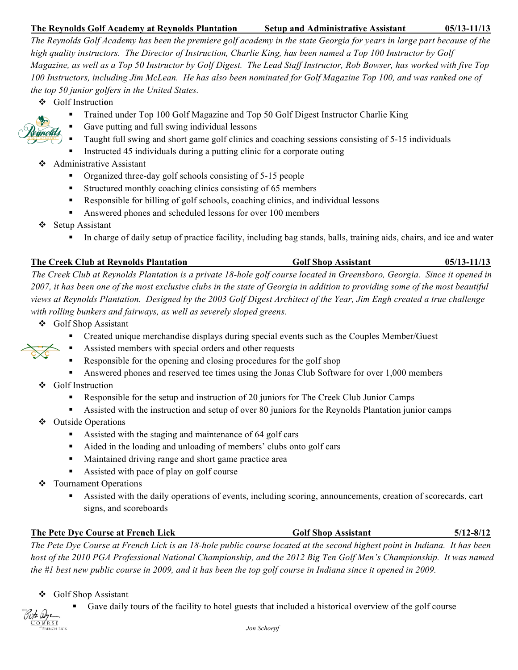### **The Reynolds Golf Academy at Reynolds Plantation Setup and Administrative Assistant****05/13-11/13**

*The Reynolds Golf Academy has been the premiere golf academy in the state Georgia for years in large part because of the high quality instructors. The Director of Instruction, Charlie King, has been named a Top 100 Instructor by Golf Magazine, as well as a Top 50 Instructor by Golf Digest. The Lead Staff Instructor, Rob Bowser, has worked with five Top 100 Instructors, including Jim McLean. He has also been nominated for Golf Magazine Top 100, and was ranked one of the top 50 junior golfers in the United States.*

- v Golf Instructi**o**n
	- § Trained under Top 100 Golf Magazine and Top 50 Golf Digest Instructor Charlie King
	- § Gave putting and full swing individual lessons
	- Taught full swing and short game golf clinics and coaching sessions consisting of 5-15 individuals
	- Instructed 45 individuals during a putting clinic for a corporate outing
- $\triangleleft$  Administrative Assistant
	- Organized three-day golf schools consisting of 5-15 people
	- Structured monthly coaching clinics consisting of 65 members
	- § Responsible for billing of golf schools, coaching clinics, and individual lessons
	- Answered phones and scheduled lessons for over 100 members
- $\div$  Setup Assistant
	- § In charge of daily setup of practice facility, including bag stands, balls, training aids, chairs, and ice and water

| The Creek Club at Reynolds Plantation                                                                                         | <b>Golf Shop Assistant</b> | $05/13 - 11/13$ |
|-------------------------------------------------------------------------------------------------------------------------------|----------------------------|-----------------|
| The Creek Club at Reynolds Plantation is a private 18-hole golf course located in Greensboro, Georgia. Since it opened in     |                            |                 |
| 2007, it has been one of the most exclusive clubs in the state of Georgia in addition to providing some of the most beautiful |                            |                 |
| views at Reynolds Plantation. Designed by the 2003 Golf Digest Architect of the Year, Jim Engh created a true challenge       |                            |                 |
| with rolling bunkers and fairways, as well as severely sloped greens.                                                         |                            |                 |

- v Golf Shop Assistant
	- § Created unique merchandise displays during special events such as the Couples Member/Guest
	- Assisted members with special orders and other requests
	- Responsible for the opening and closing procedures for the golf shop
	- Answered phones and reserved tee times using the Jonas Club Software for over 1,000 members
- v Golf Instruction
	- § Responsible for the setup and instruction of 20 juniors for The Creek Club Junior Camps
	- § Assisted with the instruction and setup of over 80 juniors for the Reynolds Plantation junior camps
- v Outside Operations
	- Assisted with the staging and maintenance of 64 golf cars
	- Aided in the loading and unloading of members' clubs onto golf cars
	- Maintained driving range and short game practice area
	- § Assisted with pace of play on golf course
- v Tournament Operations
	- Assisted with the daily operations of events, including scoring, announcements, creation of scorecards, cart signs, and scoreboards

# **The Pete Dye Course at French Lick Golf Shop Assistant 5/12-8/12**

*The Pete Dye Course at French Lick is an 18-hole public course located at the second highest point in Indiana. It has been host of the 2010 PGA Professional National Championship, and the 2012 Big Ten Golf Men's Championship. It was named the #1 best new public course in 2009, and it has been the top golf course in Indiana since it opened in 2009.* 

v Golf Shop Assistant

Gave daily tours of the facility to hotel guests that included a historical overview of the golf course

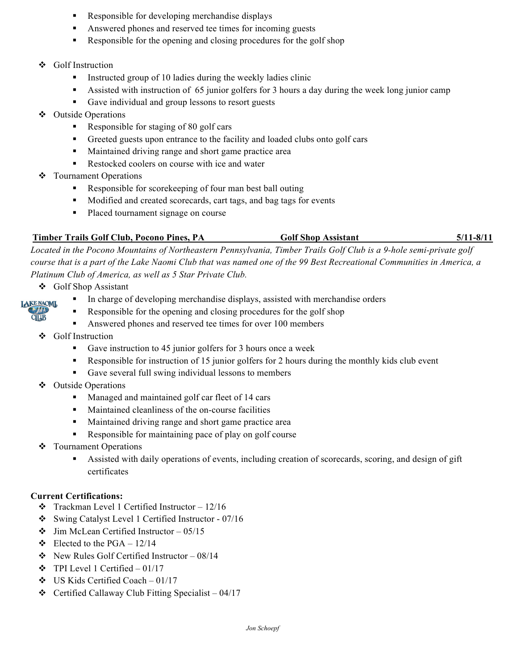- Responsible for developing merchandise displays
- Answered phones and reserved tee times for incoming guests
- Responsible for the opening and closing procedures for the golf shop
- v Golf Instruction
	- **•** Instructed group of 10 ladies during the weekly ladies clinic
	- Assisted with instruction of 65 junior golfers for 3 hours a day during the week long junior camp
	- § Gave individual and group lessons to resort guests
- v Outside Operations
	- Responsible for staging of 80 golf cars
	- § Greeted guests upon entrance to the facility and loaded clubs onto golf cars
	- Maintained driving range and short game practice area
	- Restocked coolers on course with ice and water
- ❖ Tournament Operations
	- Responsible for scorekeeping of four man best ball outing
	- Modified and created scorecards, cart tags, and bag tags for events
	- Placed tournament signage on course

### Timber Trails Golf Club, Pocono Pines, PA Golf Shop Assistant 5/11-8/11

*Located in the Pocono Mountains of Northeastern Pennsylvania, Timber Trails Golf Club is a 9-hole semi-private golf course that is a part of the Lake Naomi Club that was named one of the 99 Best Recreational Communities in America, a* 

*Platinum Club of America, as well as 5 Star Private Club.*

- v Golf Shop Assistant
	- In charge of developing merchandise displays, assisted with merchandise orders
	- Responsible for the opening and closing procedures for the golf shop
	- Answered phones and reserved tee times for over 100 members
- v Golf Instruction

**TAKE NAOML CIUB** 

- Gave instruction to 45 junior golfers for 3 hours once a week
- Responsible for instruction of 15 junior golfers for 2 hours during the monthly kids club event
- Gave several full swing individual lessons to members
- v Outside Operations
	- Managed and maintained golf car fleet of 14 cars
	- Maintained cleanliness of the on-course facilities
	- Maintained driving range and short game practice area
	- Responsible for maintaining pace of play on golf course
- ❖ Tournament Operations
	- Assisted with daily operations of events, including creation of scorecards, scoring, and design of gift certificates

#### **Current Certifications:**

- $\div$  Trackman Level 1 Certified Instructor 12/16
- v Swing Catalyst Level 1 Certified Instructor 07/16
- $\div$  Jim McLean Certified Instructor 05/15
- $\div$  Elected to the PGA 12/14
- $\div$  New Rules Golf Certified Instructor 08/14
- $\div$  TPI Level 1 Certified 01/17
- $\div$  US Kids Certified Coach 01/17
- $\div$  Certified Callaway Club Fitting Specialist 04/17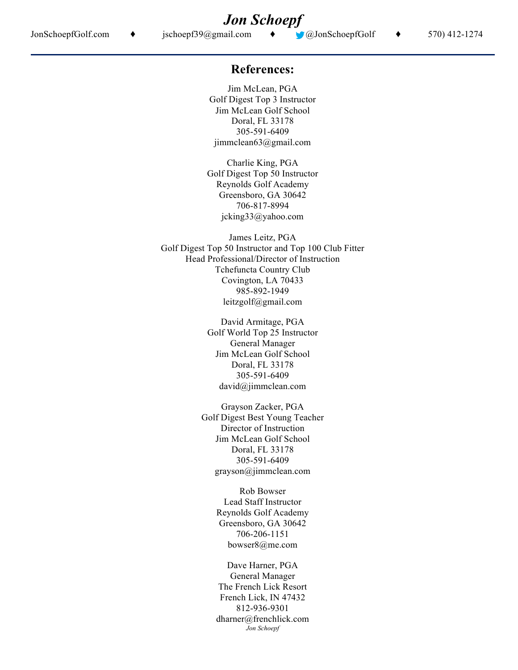## **References:**

Jim McLean, PGA Golf Digest Top 3 Instructor Jim McLean Golf School Doral, FL 33178 305-591-6409 jimmclean63@gmail.com

Charlie King, PGA Golf Digest Top 50 Instructor Reynolds Golf Academy Greensboro, GA 30642 706-817-8994 jcking33@yahoo.com

James Leitz, PGA Golf Digest Top 50 Instructor and Top 100 Club Fitter Head Professional/Director of Instruction Tchefuncta Country Club Covington, LA 70433 985-892-1949 leitzgolf@gmail.com

> David Armitage, PGA Golf World Top 25 Instructor General Manager Jim McLean Golf School Doral, FL 33178 305-591-6409 david@jimmclean.com

Grayson Zacker, PGA Golf Digest Best Young Teacher Director of Instruction Jim McLean Golf School Doral, FL 33178 305-591-6409 grayson@jimmclean.com

> Rob Bowser Lead Staff Instructor Reynolds Golf Academy Greensboro, GA 30642 706-206-1151 bowser8@me.com

> *Jon Schoepf* Dave Harner, PGA General Manager The French Lick Resort French Lick, IN 47432 812-936-9301 dharner@frenchlick.com